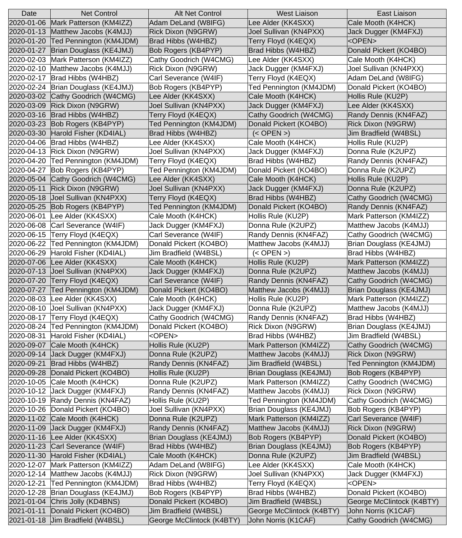| Date               | <b>Net Control</b>                    | Alt Net Control            | <b>West Liaison</b>        | <b>East Liaison</b>        |
|--------------------|---------------------------------------|----------------------------|----------------------------|----------------------------|
| 2020-01-06         | Mark Patterson (KM4IZZ)               | Adam DeLand (W8IFG)        | Lee Alder (KK4SXX)         | Cale Mooth (K4HCK)         |
| 2020-01-13         | Matthew Jacobs (K4MJJ)                | Rick Dixon (N9GRW)         | Joel Sullivan (KN4PXX)     | Jack Dugger (KM4FXJ)       |
| 2020-01-20         | Ted Pennington (KM4JDM)               | Brad Hibbs (W4HBZ)         | Terry Floyd (K4EQX)        | <open></open>              |
| 2020-01-27         | Brian Douglass (KE4JMJ)               | Bob Rogers (KB4PYP)        | Brad Hibbs (W4HBZ)         | Donald Pickert (KO4BO)     |
| 2020-02-03         | Mark Patterson (KM4IZZ)               | Cathy Goodrich (W4CMG)     | Lee Alder (KK4SXX)         | Cale Mooth (K4HCK)         |
| 2020-02-10         | Matthew Jacobs (K4MJJ)                | Rick Dixon (N9GRW)         | Jack Dugger (KM4FXJ)       | Joel Sullivan (KN4PXX)     |
| 2020-02-17         | Brad Hibbs (W4HBZ)                    | Carl Severance (W4IF)      | Terry Floyd (K4EQX)        | Adam DeLand (W8IFG)        |
| 2020-02-24         | Brian Douglass (KE4JMJ)               | <b>Bob Rogers (KB4PYP)</b> | Ted Pennington (KM4JDM)    | Donald Pickert (KO4BO)     |
| 2020-03-02         | Cathy Goodrich (W4CMG)                | Lee Alder (KK4SXX)         | Cale Mooth (K4HCK)         | Hollis Rule (KU2P)         |
| 2020-03-09         | <b>Rick Dixon (N9GRW)</b>             | Joel Sullivan (KN4PXX)     | Jack Dugger (KM4FXJ)       | Lee Alder (KK4SXX)         |
| 2020-03-16         | Brad Hibbs (W4HBZ)                    | Terry Floyd (K4EQX)        | Cathy Goodrich (W4CMG)     | Randy Dennis (KN4FAZ)      |
| 2020-03-23         | Bob Rogers (KB4PYP)                   | Ted Pennington (KM4JDM)    | Donald Pickert (KO4BO)     | Rick Dixon (N9GRW)         |
| 2020-03-30         | Harold Fisher (KD4IAL)                | Brad Hibbs (W4HBZ)         | $(<$ OPEN $>$ )            | Jim Bradfield (W4BSL)      |
| 2020-04-06         | Brad Hibbs (W4HBZ)                    | Lee Alder (KK4SXX)         | Cale Mooth (K4HCK)         | Hollis Rule (KU2P)         |
| 2020-04-13         | <b>Rick Dixon (N9GRW)</b>             | Joel Sullivan (KN4PXX)     | Jack Dugger (KM4FXJ)       | Donna Rule (K2UPZ)         |
| 2020-04-20         | Ted Pennington (KM4JDM)               | Terry Floyd (K4EQX)        | Brad Hibbs (W4HBZ)         | Randy Dennis (KN4FAZ)      |
| 2020-04-27         | Bob Rogers (KB4PYP)                   | Ted Pennington (KM4JDM)    | Donald Pickert (KO4BO)     | Donna Rule (K2UPZ)         |
| 2020-05-04         | Cathy Goodrich (W4CMG)                | Lee Alder (KK4SXX)         | Cale Mooth (K4HCK)         | Hollis Rule (KU2P)         |
| 2020-05-11         | Rick Dixon (N9GRW)                    | Joel Sullivan (KN4PXX)     | Jack Dugger (KM4FXJ)       | Donna Rule (K2UPZ)         |
| 2020-05-18         | Joel Sullivan (KN4PXX)                | Terry Floyd (K4EQX)        | Brad Hibbs (W4HBZ)         | Cathy Goodrich (W4CMG)     |
| 2020-05-25         | Bob Rogers (KB4PYP)                   | Ted Pennington (KM4JDM)    | Donald Pickert (KO4BO)     | Randy Dennis (KN4FAZ)      |
| 2020-06-01         | Lee Alder (KK4SXX)                    | Cale Mooth (K4HCK)         | Hollis Rule (KU2P)         | Mark Patterson (KM4IZZ)    |
| 2020-06-08         | Carl Severance (W4IF)                 | Jack Dugger (KM4FXJ)       | Donna Rule (K2UPZ)         | Matthew Jacobs (K4MJJ)     |
| $ 2020 - 06 - 15 $ | Terry Floyd (K4EQX)                   | Carl Severance (W4IF)      | Randy Dennis (KN4FAZ)      | Cathy Goodrich (W4CMG)     |
|                    | 2020-06-22 Ted Pennington (KM4JDM)    | Donald Pickert (KO4BO)     | Matthew Jacobs (K4MJJ)     | Brian Douglass (KE4JMJ)    |
| 2020-06-29         | Harold Fisher (KD4IAL)                | Jim Bradfield (W4BSL)      | $(<$ OPEN $>$ )            | Brad Hibbs (W4HBZ)         |
| 2020-07-06         | Lee Alder (KK4SXX)                    | Cale Mooth (K4HCK)         | Hollis Rule (KU2P)         | Mark Patterson (KM4IZZ)    |
| 2020-07-13         | Joel Sullivan (KN4PXX)                | Jack Dugger (KM4FXJ)       | Donna Rule (K2UPZ)         | Matthew Jacobs (K4MJJ)     |
| 2020-07-20         | Terry Floyd (K4EQX)                   | Carl Severance (W4IF)      | Randy Dennis (KN4FAZ)      | Cathy Goodrich (W4CMG)     |
| 2020-07-27         | Ted Pennington (KM4JDM)               | Donald Pickert (KO4BO)     | Matthew Jacobs (K4MJJ)     | Brian Douglass (KE4JMJ)    |
| 2020-08-03         | Lee Alder (KK4SXX)                    | Cale Mooth (K4HCK)         | Hollis Rule (KU2P)         | Mark Patterson (KM4IZZ)    |
| 2020-08-10         | Joel Sullivan (KN4PXX)                | Jack Dugger (KM4FXJ)       | Donna Rule (K2UPZ)         | Matthew Jacobs (K4MJJ)     |
| 2020-08-17         | Terry Floyd (K4EQX)                   | Cathy Goodrich (W4CMG)     | Randy Dennis (KN4FAZ)      | Brad Hibbs (W4HBZ)         |
| 2020-08-24         | Ted Pennington (KM4JDM)               | Donald Pickert (KO4BO)     | Rick Dixon (N9GRW)         | Brian Douglass (KE4JMJ)    |
| 2020-08-31         | Harold Fisher (KD4IAL)                | <open></open>              | Brad Hibbs (W4HBZ)         | Jim Bradfield (W4BSL)      |
| 2020-09-07         | Cale Mooth (K4HCK)                    | Hollis Rule (KU2P)         | Mark Patterson (KM4IZZ)    | Cathy Goodrich (W4CMG)     |
| 2020-09-14         | Jack Dugger (KM4FXJ)                  | Donna Rule (K2UPZ)         | Matthew Jacobs (K4MJJ)     | <b>Rick Dixon (N9GRW)</b>  |
| 2020-09-21         | Brad Hibbs (W4HBZ)                    | Randy Dennis (KN4FAZ)      | Jim Bradfield (W4BSL)      | Ted Pennington (KM4JDM)    |
| 2020-09-28         | Donald Pickert (KO4BO)                | Hollis Rule (KU2P)         | Brian Douglass (KE4JMJ)    | Bob Rogers (KB4PYP)        |
| 2020-10-05         | Cale Mooth (K4HCK)                    | Donna Rule (K2UPZ)         | Mark Patterson (KM4IZZ)    | Cathy Goodrich (W4CMG)     |
| 2020-10-12         | Jack Dugger (KM4FXJ)                  | Randy Dennis (KN4FAZ)      | Matthew Jacobs (K4MJJ)     | Rick Dixon (N9GRW)         |
| 2020-10-19         | Randy Dennis (KN4FAZ)                 | Hollis Rule (KU2P)         | Ted Pennington (KM4JDM)    | Cathy Goodrich (W4CMG)     |
| 2020-10-26         | Donald Pickert (KO4BO)                | Joel Sullivan (KN4PXX)     | Brian Douglass (KE4JMJ)    | Bob Rogers (KB4PYP)        |
| 2020-11-02         | Cale Mooth (K4HCK)                    | Donna Rule (K2UPZ)         | Mark Patterson (KM4IZZ)    | Carl Severance (W4IF)      |
| 2020-11-09         | Jack Dugger (KM4FXJ)                  | Randy Dennis (KN4FAZ)      | Matthew Jacobs (K4MJJ)     | Rick Dixon (N9GRW)         |
| 2020-11-16         | Lee Alder (KK4SXX)                    | Brian Douglass (KE4JMJ)    | <b>Bob Rogers (KB4PYP)</b> | Donald Pickert (KO4BO)     |
| 2020-11-23         | Carl Severance (W4IF)                 | Brad Hibbs (W4HBZ)         | Brian Douglass (KE4JMJ)    | <b>Bob Rogers (KB4PYP)</b> |
| 2020-11-30         | Harold Fisher (KD4IAL)                | Cale Mooth (K4HCK)         | Donna Rule (K2UPZ)         | Jim Bradfield (W4BSL)      |
| 2020-12-07         | Mark Patterson (KM4IZZ)               | Adam DeLand (W8IFG)        | Lee Alder (KK4SXX)         | Cale Mooth (K4HCK)         |
| 2020-12-14         | Matthew Jacobs (K4MJJ)                | <b>Rick Dixon (N9GRW)</b>  | Joel Sullivan (KN4PXX)     | Jack Dugger (KM4FXJ)       |
| 2020-12-21         | Ted Pennington (KM4JDM)               | Brad Hibbs (W4HBZ)         | Terry Floyd (K4EQX)        | <open></open>              |
|                    | 2020-12-28   Brian Douglass (KE4JMJ)  | Bob Rogers (KB4PYP)        | Brad Hibbs (W4HBZ)         | Donald Pickert (KO4BO)     |
|                    | $2021 - 01 - 04$ Chris Jolly (KD4BNS) | Donald Pickert (KO4BO)     | Jim Bradfield (W4BSL)      | George McClintock (K4BTY)  |
|                    | 2021-01-11 Donald Pickert (KO4BO)     | Jim Bradfield (W4BSL)      | George McClintock (K4BTY)  | John Norris (K1CAF)        |
|                    | 2021-01-18 Jim Bradfield (W4BSL)      | George McClintock (K4BTY)  | John Norris (K1CAF)        | Cathy Goodrich (W4CMG)     |